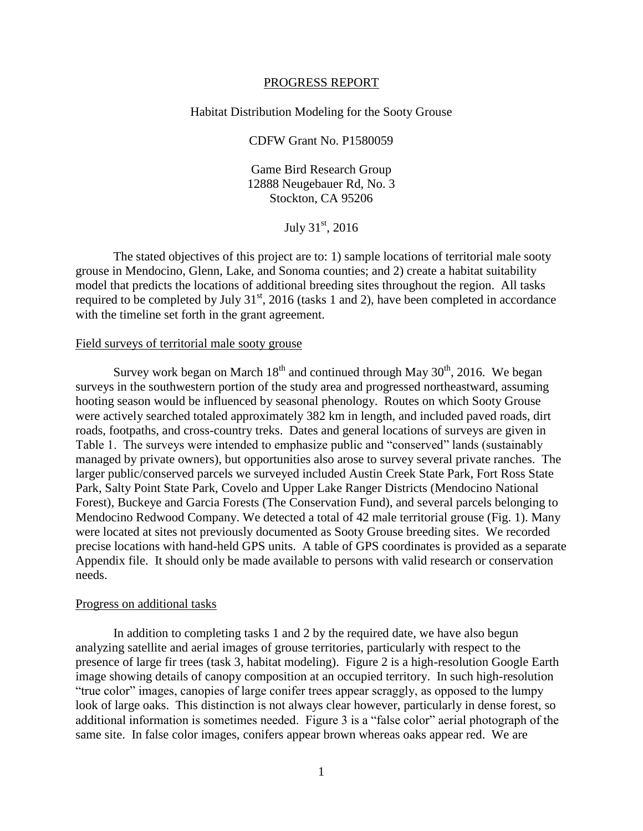#### PROGRESS REPORT

# Habitat Distribution Modeling for the Sooty Grouse

CDFW Grant No. P1580059

Game Bird Research Group 12888 Neugebauer Rd, No. 3 Stockton, CA 95206

July  $31^{\rm st}$ , 2016

The stated objectives of this project are to: 1) sample locations of territorial male sooty grouse in Mendocino, Glenn, Lake, and Sonoma counties; and 2) create a habitat suitability model that predicts the locations of additional breeding sites throughout the region. All tasks required to be completed by July  $31<sup>st</sup>$ , 2016 (tasks 1 and 2), have been completed in accordance with the timeline set forth in the grant agreement.

# Field surveys of territorial male sooty grouse

Survey work began on March  $18<sup>th</sup>$  and continued through May  $30<sup>th</sup>$ , 2016. We began surveys in the southwestern portion of the study area and progressed northeastward, assuming hooting season would be influenced by seasonal phenology. Routes on which Sooty Grouse were actively searched totaled approximately 382 km in length, and included paved roads, dirt roads, footpaths, and cross-country treks. Dates and general locations of surveys are given in Table 1. The surveys were intended to emphasize public and "conserved" lands (sustainably managed by private owners), but opportunities also arose to survey several private ranches. The larger public/conserved parcels we surveyed included Austin Creek State Park, Fort Ross State Park, Salty Point State Park, Covelo and Upper Lake Ranger Districts (Mendocino National Forest), Buckeye and Garcia Forests (The Conservation Fund), and several parcels belonging to Mendocino Redwood Company. We detected a total of 42 male territorial grouse (Fig. 1). Many were located at sites not previously documented as Sooty Grouse breeding sites. We recorded precise locations with hand-held GPS units. A table of GPS coordinates is provided as a separate Appendix file. It should only be made available to persons with valid research or conservation needs.

#### Progress on additional tasks

In addition to completing tasks 1 and 2 by the required date, we have also begun analyzing satellite and aerial images of grouse territories, particularly with respect to the presence of large fir trees (task 3, habitat modeling). Figure 2 is a high-resolution Google Earth image showing details of canopy composition at an occupied territory. In such high-resolution "true color" images, canopies of large conifer trees appear scraggly, as opposed to the lumpy look of large oaks. This distinction is not always clear however, particularly in dense forest, so additional information is sometimes needed. Figure 3 is a "false color" aerial photograph of the same site. In false color images, conifers appear brown whereas oaks appear red. We are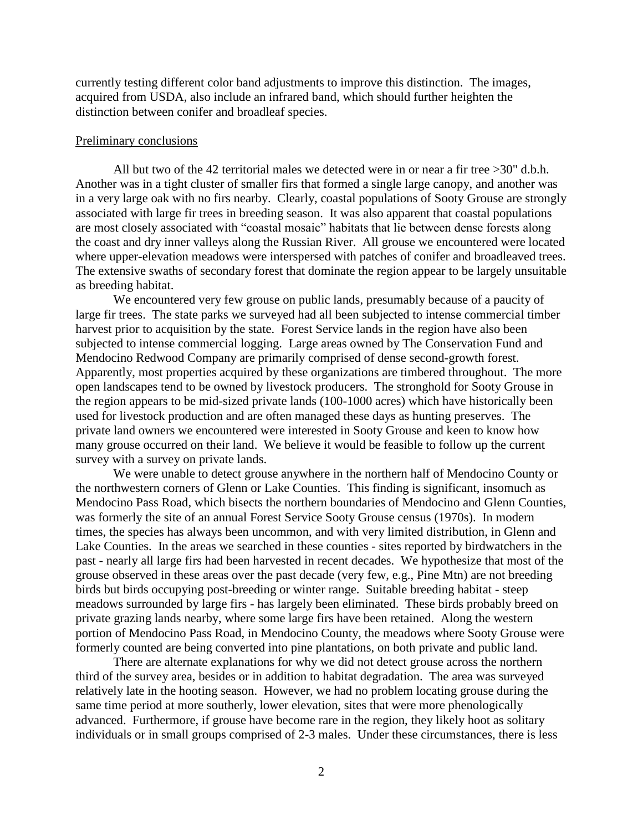currently testing different color band adjustments to improve this distinction. The images, acquired from USDA, also include an infrared band, which should further heighten the distinction between conifer and broadleaf species.

# Preliminary conclusions

All but two of the 42 territorial males we detected were in or near a fir tree >30" d.b.h. Another was in a tight cluster of smaller firs that formed a single large canopy, and another was in a very large oak with no firs nearby. Clearly, coastal populations of Sooty Grouse are strongly associated with large fir trees in breeding season. It was also apparent that coastal populations are most closely associated with "coastal mosaic" habitats that lie between dense forests along the coast and dry inner valleys along the Russian River. All grouse we encountered were located where upper-elevation meadows were interspersed with patches of conifer and broadleaved trees. The extensive swaths of secondary forest that dominate the region appear to be largely unsuitable as breeding habitat.

We encountered very few grouse on public lands, presumably because of a paucity of large fir trees. The state parks we surveyed had all been subjected to intense commercial timber harvest prior to acquisition by the state. Forest Service lands in the region have also been subjected to intense commercial logging. Large areas owned by The Conservation Fund and Mendocino Redwood Company are primarily comprised of dense second-growth forest. Apparently, most properties acquired by these organizations are timbered throughout. The more open landscapes tend to be owned by livestock producers. The stronghold for Sooty Grouse in the region appears to be mid-sized private lands (100-1000 acres) which have historically been used for livestock production and are often managed these days as hunting preserves. The private land owners we encountered were interested in Sooty Grouse and keen to know how many grouse occurred on their land. We believe it would be feasible to follow up the current survey with a survey on private lands.

We were unable to detect grouse anywhere in the northern half of Mendocino County or the northwestern corners of Glenn or Lake Counties. This finding is significant, insomuch as Mendocino Pass Road, which bisects the northern boundaries of Mendocino and Glenn Counties, was formerly the site of an annual Forest Service Sooty Grouse census (1970s). In modern times, the species has always been uncommon, and with very limited distribution, in Glenn and Lake Counties. In the areas we searched in these counties - sites reported by birdwatchers in the past - nearly all large firs had been harvested in recent decades. We hypothesize that most of the grouse observed in these areas over the past decade (very few, e.g., Pine Mtn) are not breeding birds but birds occupying post-breeding or winter range. Suitable breeding habitat - steep meadows surrounded by large firs - has largely been eliminated. These birds probably breed on private grazing lands nearby, where some large firs have been retained. Along the western portion of Mendocino Pass Road, in Mendocino County, the meadows where Sooty Grouse were formerly counted are being converted into pine plantations, on both private and public land.

There are alternate explanations for why we did not detect grouse across the northern third of the survey area, besides or in addition to habitat degradation. The area was surveyed relatively late in the hooting season. However, we had no problem locating grouse during the same time period at more southerly, lower elevation, sites that were more phenologically advanced. Furthermore, if grouse have become rare in the region, they likely hoot as solitary individuals or in small groups comprised of 2-3 males. Under these circumstances, there is less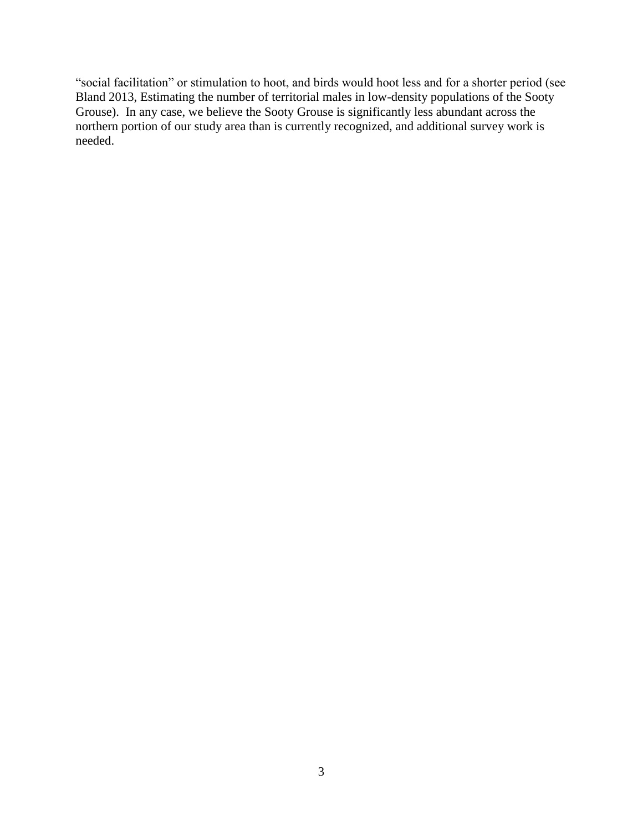"social facilitation" or stimulation to hoot, and birds would hoot less and for a shorter period (see Bland 2013, Estimating the number of territorial males in low-density populations of the Sooty Grouse). In any case, we believe the Sooty Grouse is significantly less abundant across the northern portion of our study area than is currently recognized, and additional survey work is needed.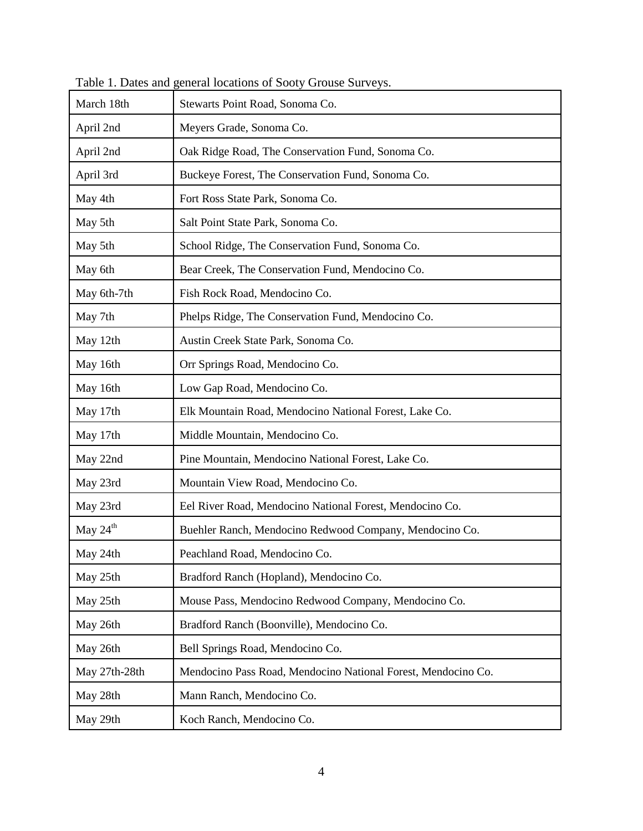| March 18th           | Stewarts Point Road, Sonoma Co.                               |
|----------------------|---------------------------------------------------------------|
| April 2nd            | Meyers Grade, Sonoma Co.                                      |
| April 2nd            | Oak Ridge Road, The Conservation Fund, Sonoma Co.             |
| April 3rd            | Buckeye Forest, The Conservation Fund, Sonoma Co.             |
| May 4th              | Fort Ross State Park, Sonoma Co.                              |
| May 5th              | Salt Point State Park, Sonoma Co.                             |
| May 5th              | School Ridge, The Conservation Fund, Sonoma Co.               |
| May 6th              | Bear Creek, The Conservation Fund, Mendocino Co.              |
| May 6th-7th          | Fish Rock Road, Mendocino Co.                                 |
| May 7th              | Phelps Ridge, The Conservation Fund, Mendocino Co.            |
| May 12th             | Austin Creek State Park, Sonoma Co.                           |
| May 16th             | Orr Springs Road, Mendocino Co.                               |
| May 16th             | Low Gap Road, Mendocino Co.                                   |
| May 17th             | Elk Mountain Road, Mendocino National Forest, Lake Co.        |
| May 17th             | Middle Mountain, Mendocino Co.                                |
| May 22nd             | Pine Mountain, Mendocino National Forest, Lake Co.            |
| May 23rd             | Mountain View Road, Mendocino Co.                             |
| May 23rd             | Eel River Road, Mendocino National Forest, Mendocino Co.      |
| May $24^{\text{th}}$ | Buehler Ranch, Mendocino Redwood Company, Mendocino Co.       |
| May 24th             | Peachland Road, Mendocino Co.                                 |
| May 25th             | Bradford Ranch (Hopland), Mendocino Co.                       |
| May 25th             | Mouse Pass, Mendocino Redwood Company, Mendocino Co.          |
| May 26th             | Bradford Ranch (Boonville), Mendocino Co.                     |
| May 26th             | Bell Springs Road, Mendocino Co.                              |
| May 27th-28th        | Mendocino Pass Road, Mendocino National Forest, Mendocino Co. |
| May 28th             | Mann Ranch, Mendocino Co.                                     |
| May 29th             | Koch Ranch, Mendocino Co.                                     |

Table 1. Dates and general locations of Sooty Grouse Surveys.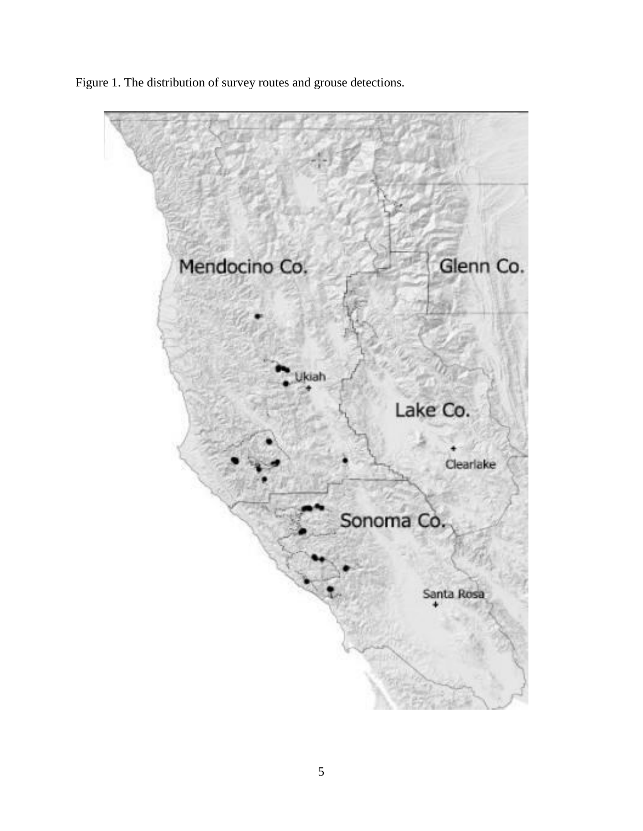Figure 1. The distribution of survey routes and grouse detections.